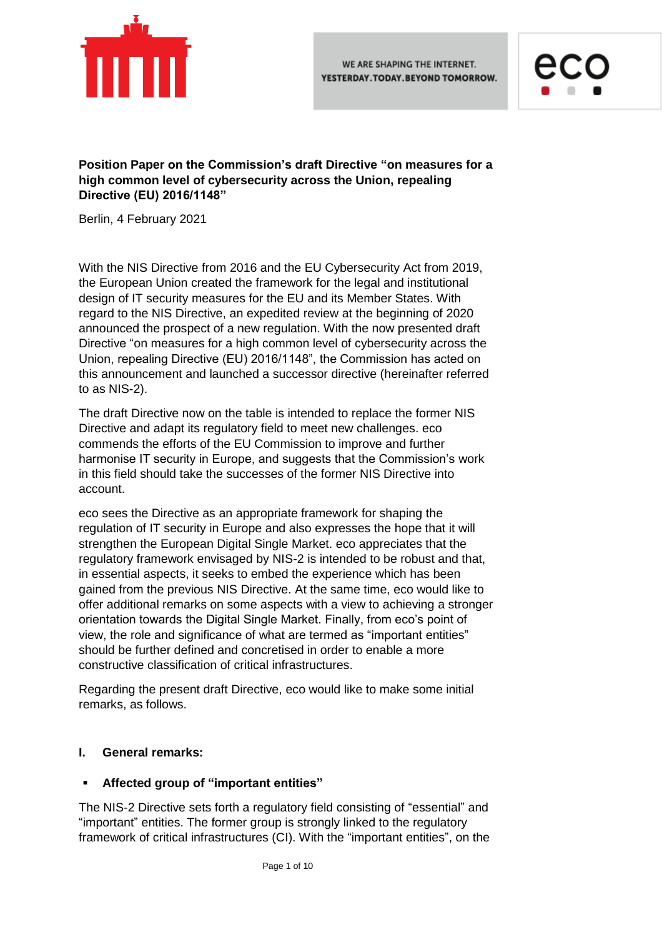



**Position Paper on the Commission's draft Directive "on measures for a high common level of cybersecurity across the Union, repealing Directive (EU) 2016/1148"**

Berlin, 4 February 2021

With the NIS Directive from 2016 and the EU Cybersecurity Act from 2019, the European Union created the framework for the legal and institutional design of IT security measures for the EU and its Member States. With regard to the NIS Directive, an expedited review at the beginning of 2020 announced the prospect of a new regulation. With the now presented draft Directive "on measures for a high common level of cybersecurity across the Union, repealing Directive (EU) 2016/1148", the Commission has acted on this announcement and launched a successor directive (hereinafter referred to as NIS-2).

The draft Directive now on the table is intended to replace the former NIS Directive and adapt its regulatory field to meet new challenges. eco commends the efforts of the EU Commission to improve and further harmonise IT security in Europe, and suggests that the Commission's work in this field should take the successes of the former NIS Directive into account.

eco sees the Directive as an appropriate framework for shaping the regulation of IT security in Europe and also expresses the hope that it will strengthen the European Digital Single Market. eco appreciates that the regulatory framework envisaged by NIS-2 is intended to be robust and that, in essential aspects, it seeks to embed the experience which has been gained from the previous NIS Directive. At the same time, eco would like to offer additional remarks on some aspects with a view to achieving a stronger orientation towards the Digital Single Market. Finally, from eco's point of view, the role and significance of what are termed as "important entities" should be further defined and concretised in order to enable a more constructive classification of critical infrastructures.

Regarding the present draft Directive, eco would like to make some initial remarks, as follows.

### **I. General remarks:**

### **Affected group of "important entities"**

The NIS-2 Directive sets forth a regulatory field consisting of "essential" and "important" entities. The former group is strongly linked to the regulatory framework of critical infrastructures (CI). With the "important entities", on the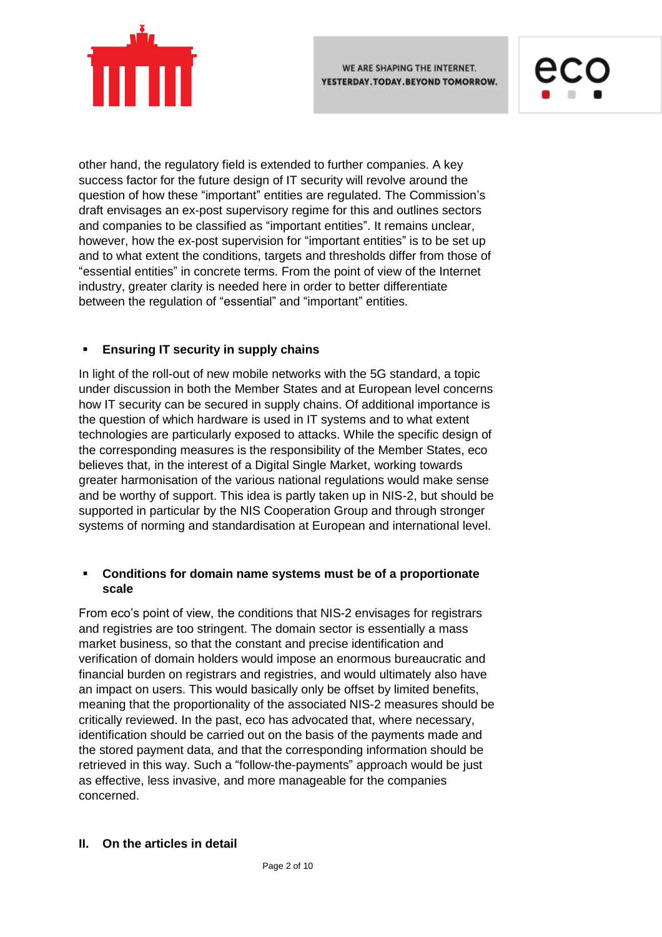



other hand, the regulatory field is extended to further companies. A key success factor for the future design of IT security will revolve around the question of how these "important" entities are regulated. The Commission's draft envisages an ex-post supervisory regime for this and outlines sectors and companies to be classified as "important entities". It remains unclear, however, how the ex-post supervision for "important entities" is to be set up and to what extent the conditions, targets and thresholds differ from those of "essential entities" in concrete terms. From the point of view of the Internet industry, greater clarity is needed here in order to better differentiate between the regulation of "essential" and "important" entities.

# **Ensuring IT security in supply chains**

In light of the roll-out of new mobile networks with the 5G standard, a topic under discussion in both the Member States and at European level concerns how IT security can be secured in supply chains. Of additional importance is the question of which hardware is used in IT systems and to what extent technologies are particularly exposed to attacks. While the specific design of the corresponding measures is the responsibility of the Member States, eco believes that, in the interest of a Digital Single Market, working towards greater harmonisation of the various national regulations would make sense and be worthy of support. This idea is partly taken up in NIS-2, but should be supported in particular by the NIS Cooperation Group and through stronger systems of norming and standardisation at European and international level.

## **Conditions for domain name systems must be of a proportionate scale**

From eco's point of view, the conditions that NIS-2 envisages for registrars and registries are too stringent. The domain sector is essentially a mass market business, so that the constant and precise identification and verification of domain holders would impose an enormous bureaucratic and financial burden on registrars and registries, and would ultimately also have an impact on users. This would basically only be offset by limited benefits, meaning that the proportionality of the associated NIS-2 measures should be critically reviewed. In the past, eco has advocated that, where necessary, identification should be carried out on the basis of the payments made and the stored payment data, and that the corresponding information should be retrieved in this way. Such a "follow-the-payments" approach would be just as effective, less invasive, and more manageable for the companies concerned.

### **II. On the articles in detail**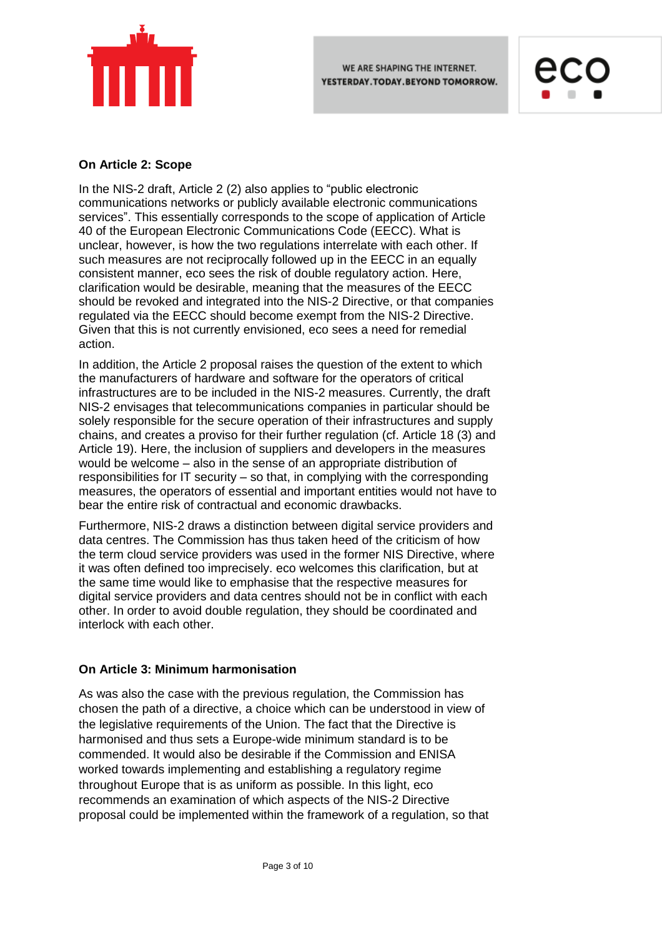



### **On Article 2: Scope**

In the NIS-2 draft, Article 2 (2) also applies to "public electronic communications networks or publicly available electronic communications services". This essentially corresponds to the scope of application of Article 40 of the European Electronic Communications Code (EECC). What is unclear, however, is how the two regulations interrelate with each other. If such measures are not reciprocally followed up in the EECC in an equally consistent manner, eco sees the risk of double regulatory action. Here, clarification would be desirable, meaning that the measures of the EECC should be revoked and integrated into the NIS-2 Directive, or that companies regulated via the EECC should become exempt from the NIS-2 Directive. Given that this is not currently envisioned, eco sees a need for remedial action.

In addition, the Article 2 proposal raises the question of the extent to which the manufacturers of hardware and software for the operators of critical infrastructures are to be included in the NIS-2 measures. Currently, the draft NIS-2 envisages that telecommunications companies in particular should be solely responsible for the secure operation of their infrastructures and supply chains, and creates a proviso for their further regulation (cf. Article 18 (3) and Article 19). Here, the inclusion of suppliers and developers in the measures would be welcome – also in the sense of an appropriate distribution of responsibilities for IT security – so that, in complying with the corresponding measures, the operators of essential and important entities would not have to bear the entire risk of contractual and economic drawbacks.

Furthermore, NIS-2 draws a distinction between digital service providers and data centres. The Commission has thus taken heed of the criticism of how the term cloud service providers was used in the former NIS Directive, where it was often defined too imprecisely. eco welcomes this clarification, but at the same time would like to emphasise that the respective measures for digital service providers and data centres should not be in conflict with each other. In order to avoid double regulation, they should be coordinated and interlock with each other.

### **On Article 3: Minimum harmonisation**

As was also the case with the previous regulation, the Commission has chosen the path of a directive, a choice which can be understood in view of the legislative requirements of the Union. The fact that the Directive is harmonised and thus sets a Europe-wide minimum standard is to be commended. It would also be desirable if the Commission and ENISA worked towards implementing and establishing a regulatory regime throughout Europe that is as uniform as possible. In this light, eco recommends an examination of which aspects of the NIS-2 Directive proposal could be implemented within the framework of a regulation, so that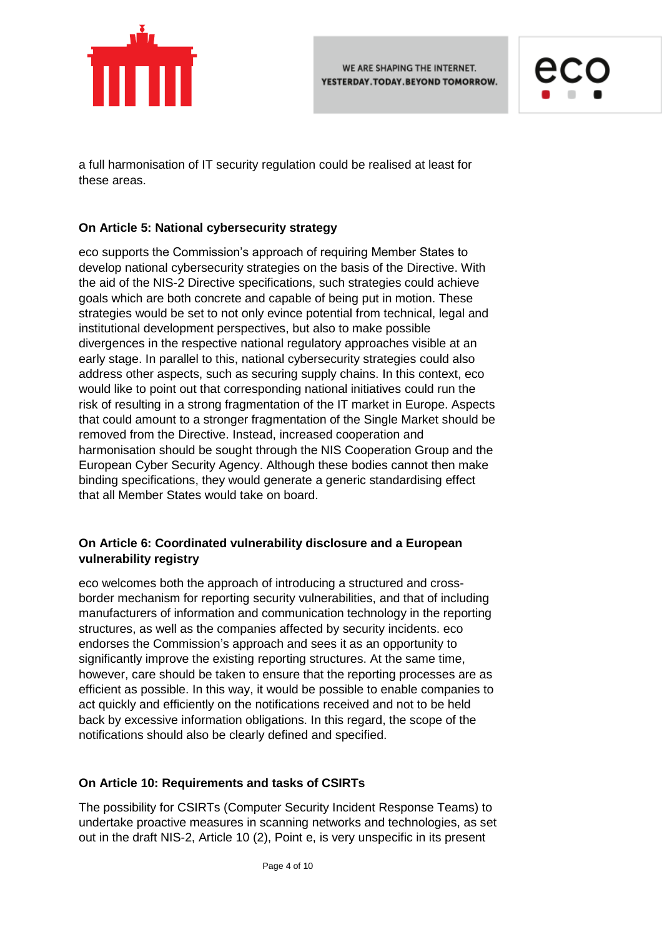



a full harmonisation of IT security regulation could be realised at least for these areas.

## **On Article 5: National cybersecurity strategy**

eco supports the Commission's approach of requiring Member States to develop national cybersecurity strategies on the basis of the Directive. With the aid of the NIS-2 Directive specifications, such strategies could achieve goals which are both concrete and capable of being put in motion. These strategies would be set to not only evince potential from technical, legal and institutional development perspectives, but also to make possible divergences in the respective national regulatory approaches visible at an early stage. In parallel to this, national cybersecurity strategies could also address other aspects, such as securing supply chains. In this context, eco would like to point out that corresponding national initiatives could run the risk of resulting in a strong fragmentation of the IT market in Europe. Aspects that could amount to a stronger fragmentation of the Single Market should be removed from the Directive. Instead, increased cooperation and harmonisation should be sought through the NIS Cooperation Group and the European Cyber Security Agency. Although these bodies cannot then make binding specifications, they would generate a generic standardising effect that all Member States would take on board.

### **On Article 6: Coordinated vulnerability disclosure and a European vulnerability registry**

eco welcomes both the approach of introducing a structured and crossborder mechanism for reporting security vulnerabilities, and that of including manufacturers of information and communication technology in the reporting structures, as well as the companies affected by security incidents. eco endorses the Commission's approach and sees it as an opportunity to significantly improve the existing reporting structures. At the same time, however, care should be taken to ensure that the reporting processes are as efficient as possible. In this way, it would be possible to enable companies to act quickly and efficiently on the notifications received and not to be held back by excessive information obligations. In this regard, the scope of the notifications should also be clearly defined and specified.

## **On Article 10: Requirements and tasks of CSIRTs**

The possibility for CSIRTs (Computer Security Incident Response Teams) to undertake proactive measures in scanning networks and technologies, as set out in the draft NIS-2, Article 10 (2), Point e, is very unspecific in its present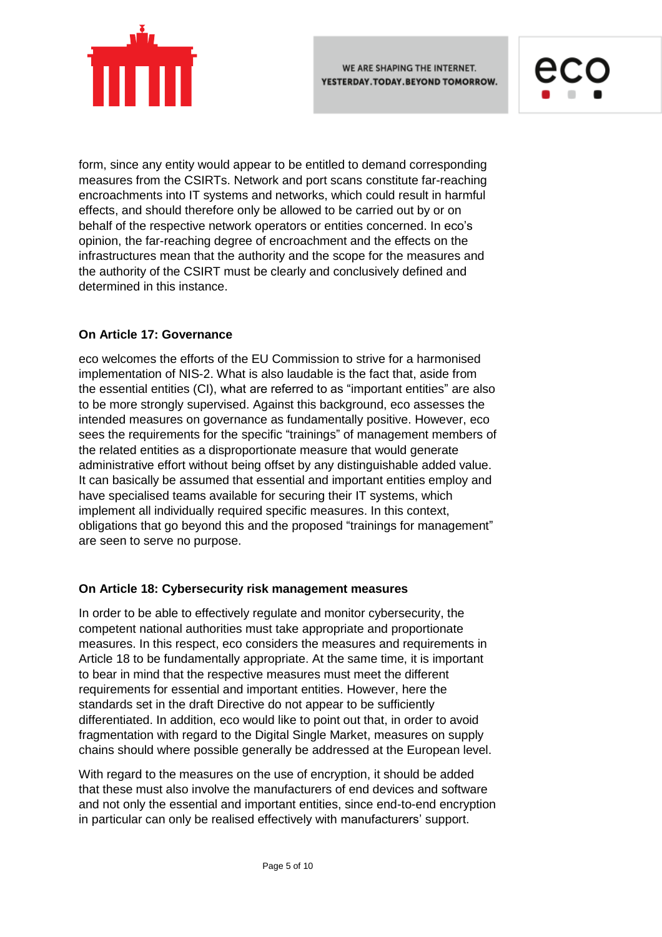





form, since any entity would appear to be entitled to demand corresponding measures from the CSIRTs. Network and port scans constitute far-reaching encroachments into IT systems and networks, which could result in harmful effects, and should therefore only be allowed to be carried out by or on behalf of the respective network operators or entities concerned. In eco's opinion, the far-reaching degree of encroachment and the effects on the infrastructures mean that the authority and the scope for the measures and the authority of the CSIRT must be clearly and conclusively defined and determined in this instance.

### **On Article 17: Governance**

eco welcomes the efforts of the EU Commission to strive for a harmonised implementation of NIS-2. What is also laudable is the fact that, aside from the essential entities (CI), what are referred to as "important entities" are also to be more strongly supervised. Against this background, eco assesses the intended measures on governance as fundamentally positive. However, eco sees the requirements for the specific "trainings" of management members of the related entities as a disproportionate measure that would generate administrative effort without being offset by any distinguishable added value. It can basically be assumed that essential and important entities employ and have specialised teams available for securing their IT systems, which implement all individually required specific measures. In this context, obligations that go beyond this and the proposed "trainings for management" are seen to serve no purpose.

### **On Article 18: Cybersecurity risk management measures**

In order to be able to effectively regulate and monitor cybersecurity, the competent national authorities must take appropriate and proportionate measures. In this respect, eco considers the measures and requirements in Article 18 to be fundamentally appropriate. At the same time, it is important to bear in mind that the respective measures must meet the different requirements for essential and important entities. However, here the standards set in the draft Directive do not appear to be sufficiently differentiated. In addition, eco would like to point out that, in order to avoid fragmentation with regard to the Digital Single Market, measures on supply chains should where possible generally be addressed at the European level.

With regard to the measures on the use of encryption, it should be added that these must also involve the manufacturers of end devices and software and not only the essential and important entities, since end-to-end encryption in particular can only be realised effectively with manufacturers' support.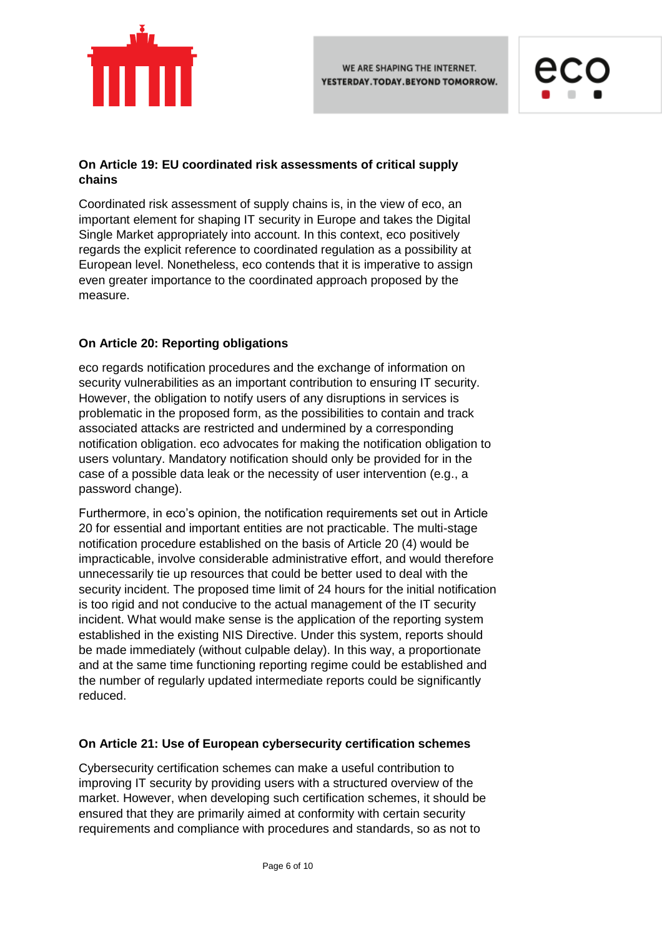



# **On Article 19: EU coordinated risk assessments of critical supply chains**

Coordinated risk assessment of supply chains is, in the view of eco, an important element for shaping IT security in Europe and takes the Digital Single Market appropriately into account. In this context, eco positively regards the explicit reference to coordinated regulation as a possibility at European level. Nonetheless, eco contends that it is imperative to assign even greater importance to the coordinated approach proposed by the measure.

## **On Article 20: Reporting obligations**

eco regards notification procedures and the exchange of information on security vulnerabilities as an important contribution to ensuring IT security. However, the obligation to notify users of any disruptions in services is problematic in the proposed form, as the possibilities to contain and track associated attacks are restricted and undermined by a corresponding notification obligation. eco advocates for making the notification obligation to users voluntary. Mandatory notification should only be provided for in the case of a possible data leak or the necessity of user intervention (e.g., a password change).

Furthermore, in eco's opinion, the notification requirements set out in Article 20 for essential and important entities are not practicable. The multi-stage notification procedure established on the basis of Article 20 (4) would be impracticable, involve considerable administrative effort, and would therefore unnecessarily tie up resources that could be better used to deal with the security incident. The proposed time limit of 24 hours for the initial notification is too rigid and not conducive to the actual management of the IT security incident. What would make sense is the application of the reporting system established in the existing NIS Directive. Under this system, reports should be made immediately (without culpable delay). In this way, a proportionate and at the same time functioning reporting regime could be established and the number of regularly updated intermediate reports could be significantly reduced.

## **On Article 21: Use of European cybersecurity certification schemes**

Cybersecurity certification schemes can make a useful contribution to improving IT security by providing users with a structured overview of the market. However, when developing such certification schemes, it should be ensured that they are primarily aimed at conformity with certain security requirements and compliance with procedures and standards, so as not to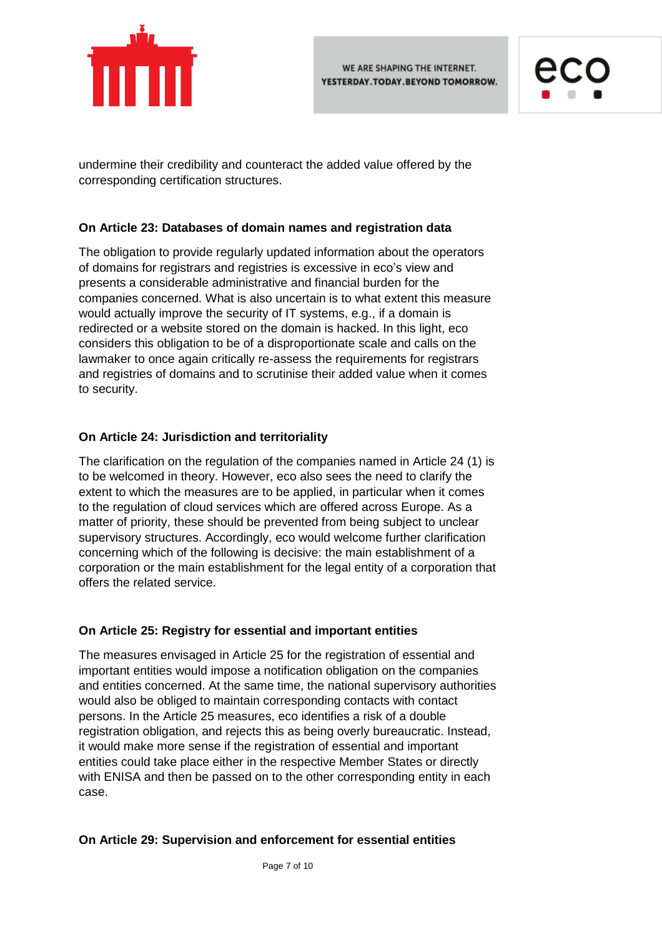



undermine their credibility and counteract the added value offered by the corresponding certification structures.

### **On Article 23: Databases of domain names and registration data**

The obligation to provide regularly updated information about the operators of domains for registrars and registries is excessive in eco's view and presents a considerable administrative and financial burden for the companies concerned. What is also uncertain is to what extent this measure would actually improve the security of IT systems, e.g., if a domain is redirected or a website stored on the domain is hacked. In this light, eco considers this obligation to be of a disproportionate scale and calls on the lawmaker to once again critically re-assess the requirements for registrars and registries of domains and to scrutinise their added value when it comes to security.

## **On Article 24: Jurisdiction and territoriality**

The clarification on the regulation of the companies named in Article 24 (1) is to be welcomed in theory. However, eco also sees the need to clarify the extent to which the measures are to be applied, in particular when it comes to the regulation of cloud services which are offered across Europe. As a matter of priority, these should be prevented from being subject to unclear supervisory structures. Accordingly, eco would welcome further clarification concerning which of the following is decisive: the main establishment of a corporation or the main establishment for the legal entity of a corporation that offers the related service.

### **On Article 25: Registry for essential and important entities**

The measures envisaged in Article 25 for the registration of essential and important entities would impose a notification obligation on the companies and entities concerned. At the same time, the national supervisory authorities would also be obliged to maintain corresponding contacts with contact persons. In the Article 25 measures, eco identifies a risk of a double registration obligation, and rejects this as being overly bureaucratic. Instead, it would make more sense if the registration of essential and important entities could take place either in the respective Member States or directly with ENISA and then be passed on to the other corresponding entity in each case.

### **On Article 29: Supervision and enforcement for essential entities**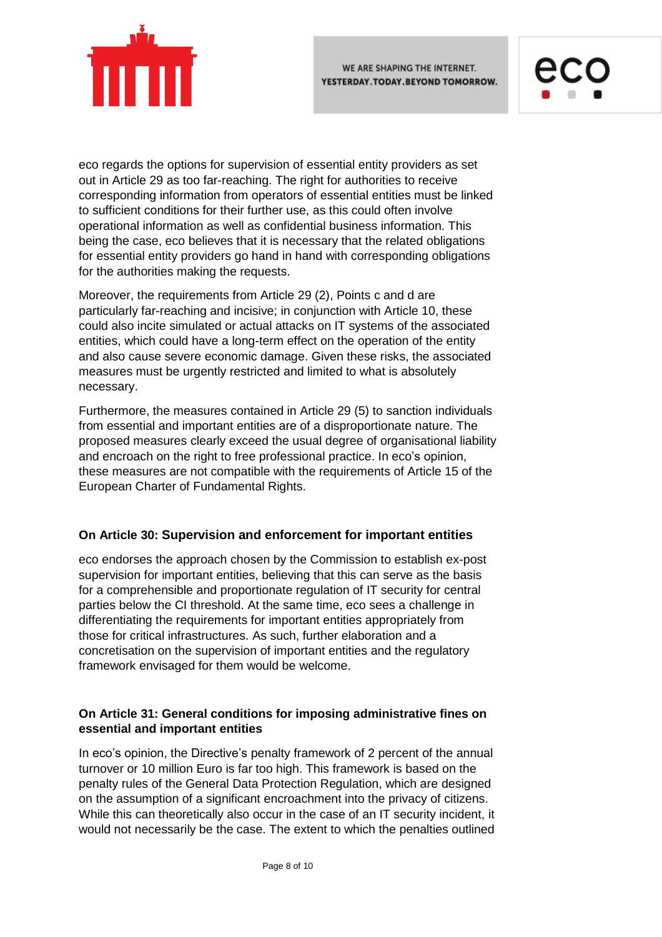



eco regards the options for supervision of essential entity providers as set out in Article 29 as too far-reaching. The right for authorities to receive corresponding information from operators of essential entities must be linked to sufficient conditions for their further use, as this could often involve operational information as well as confidential business information. This being the case, eco believes that it is necessary that the related obligations for essential entity providers go hand in hand with corresponding obligations for the authorities making the requests.

Moreover, the requirements from Article 29 (2), Points c and d are particularly far-reaching and incisive; in conjunction with Article 10, these could also incite simulated or actual attacks on IT systems of the associated entities, which could have a long-term effect on the operation of the entity and also cause severe economic damage. Given these risks, the associated measures must be urgently restricted and limited to what is absolutely necessary.

Furthermore, the measures contained in Article 29 (5) to sanction individuals from essential and important entities are of a disproportionate nature. The proposed measures clearly exceed the usual degree of organisational liability and encroach on the right to free professional practice. In eco's opinion, these measures are not compatible with the requirements of Article 15 of the European Charter of Fundamental Rights.

## **On Article 30: Supervision and enforcement for important entities**

eco endorses the approach chosen by the Commission to establish ex-post supervision for important entities, believing that this can serve as the basis for a comprehensible and proportionate regulation of IT security for central parties below the CI threshold. At the same time, eco sees a challenge in differentiating the requirements for important entities appropriately from those for critical infrastructures. As such, further elaboration and a concretisation on the supervision of important entities and the regulatory framework envisaged for them would be welcome.

## **On Article 31: General conditions for imposing administrative fines on essential and important entities**

In eco's opinion, the Directive's penalty framework of 2 percent of the annual turnover or 10 million Euro is far too high. This framework is based on the penalty rules of the General Data Protection Regulation, which are designed on the assumption of a significant encroachment into the privacy of citizens. While this can theoretically also occur in the case of an IT security incident, it would not necessarily be the case. The extent to which the penalties outlined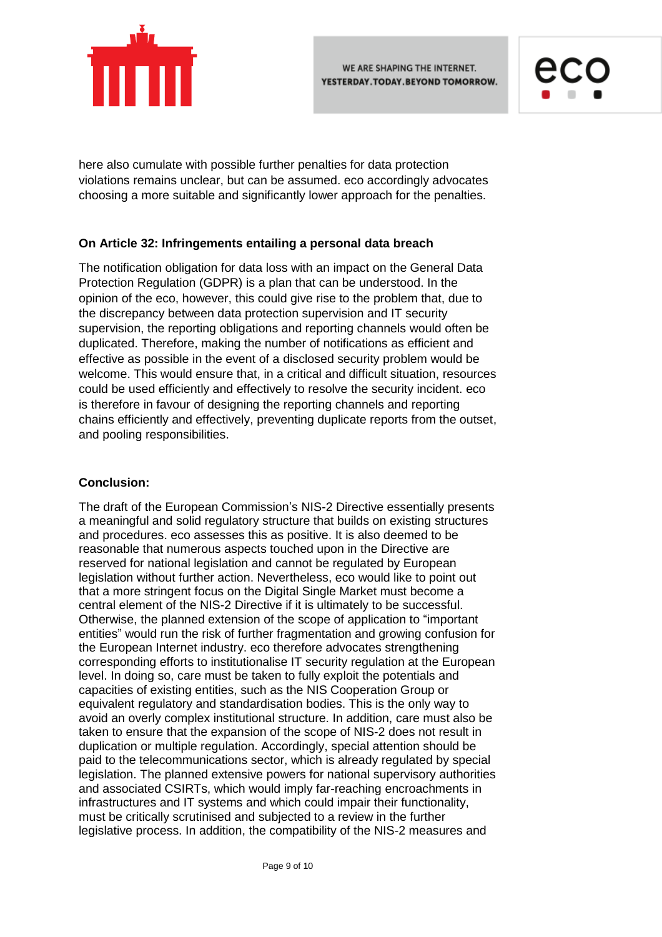



here also cumulate with possible further penalties for data protection violations remains unclear, but can be assumed. eco accordingly advocates choosing a more suitable and significantly lower approach for the penalties.

### **On Article 32: Infringements entailing a personal data breach**

The notification obligation for data loss with an impact on the General Data Protection Regulation (GDPR) is a plan that can be understood. In the opinion of the eco, however, this could give rise to the problem that, due to the discrepancy between data protection supervision and IT security supervision, the reporting obligations and reporting channels would often be duplicated. Therefore, making the number of notifications as efficient and effective as possible in the event of a disclosed security problem would be welcome. This would ensure that, in a critical and difficult situation, resources could be used efficiently and effectively to resolve the security incident. eco is therefore in favour of designing the reporting channels and reporting chains efficiently and effectively, preventing duplicate reports from the outset, and pooling responsibilities.

### **Conclusion:**

The draft of the European Commission's NIS-2 Directive essentially presents a meaningful and solid regulatory structure that builds on existing structures and procedures. eco assesses this as positive. It is also deemed to be reasonable that numerous aspects touched upon in the Directive are reserved for national legislation and cannot be regulated by European legislation without further action. Nevertheless, eco would like to point out that a more stringent focus on the Digital Single Market must become a central element of the NIS-2 Directive if it is ultimately to be successful. Otherwise, the planned extension of the scope of application to "important entities" would run the risk of further fragmentation and growing confusion for the European Internet industry. eco therefore advocates strengthening corresponding efforts to institutionalise IT security regulation at the European level. In doing so, care must be taken to fully exploit the potentials and capacities of existing entities, such as the NIS Cooperation Group or equivalent regulatory and standardisation bodies. This is the only way to avoid an overly complex institutional structure. In addition, care must also be taken to ensure that the expansion of the scope of NIS-2 does not result in duplication or multiple regulation. Accordingly, special attention should be paid to the telecommunications sector, which is already regulated by special legislation. The planned extensive powers for national supervisory authorities and associated CSIRTs, which would imply far-reaching encroachments in infrastructures and IT systems and which could impair their functionality, must be critically scrutinised and subjected to a review in the further legislative process. In addition, the compatibility of the NIS-2 measures and